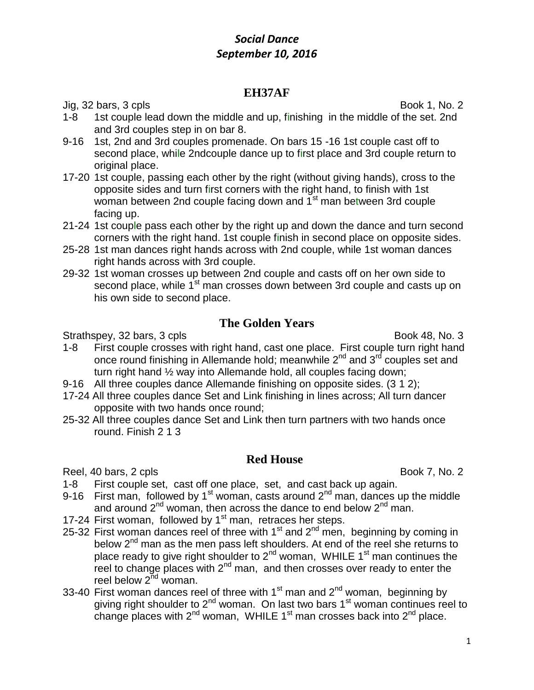## **EH37AF**

Jig, 32 bars, 3 cpls Book 1, No. 2

- 1-8 1st couple lead down the middle and up, finishing in the middle of the set. 2nd and 3rd couples step in on bar 8.
- 9-16 1st, 2nd and 3rd couples promenade. On bars 15 -16 1st couple cast off to second place, while 2ndcouple dance up to first place and 3rd couple return to original place.
- 17-20 1st couple, passing each other by the right (without giving hands), cross to the opposite sides and turn first corners with the right hand, to finish with 1st woman between 2nd couple facing down and 1<sup>st</sup> man between 3rd couple facing up.
- 21-24 1st couple pass each other by the right up and down the dance and turn second corners with the right hand. 1st couple finish in second place on opposite sides.
- 25-28 1st man dances right hands across with 2nd couple, while 1st woman dances right hands across with 3rd couple.
- 29-32 1st woman crosses up between 2nd couple and casts off on her own side to second place, while 1<sup>st</sup> man crosses down between 3rd couple and casts up on his own side to second place.

# **The Golden Years**

Strathspey, 32 bars, 3 cpls Book 48, No. 3

- 1-8 First couple crosses with right hand, cast one place. First couple turn right hand once round finishing in Allemande hold; meanwhile 2<sup>nd</sup> and 3<sup>rd</sup> couples set and turn right hand ½ way into Allemande hold, all couples facing down;
- 9-16 All three couples dance Allemande finishing on opposite sides. (3 1 2);
- 17-24 All three couples dance Set and Link finishing in lines across; All turn dancer opposite with two hands once round;
- 25-32 All three couples dance Set and Link then turn partners with two hands once round. Finish 2 1 3

#### **Red House**

Reel, 40 bars, 2 cpls Book 7, No. 2

- 1-8 First couple set, cast off one place, set, and cast back up again.
- 9-16 First man, followed by 1<sup>st</sup> woman, casts around  $2^{nd}$  man, dances up the middle and around  $2^{nd}$  woman, then across the dance to end below  $2^{nd}$  man.
- 17-24 First woman, followed by  $1<sup>st</sup>$  man, retraces her steps.
- 25-32 First woman dances reel of three with  $1<sup>st</sup>$  and  $2<sup>nd</sup>$  men, beginning by coming in below  $2<sup>nd</sup>$  man as the men pass left shoulders. At end of the reel she returns to place ready to give right shoulder to  $2<sup>nd</sup>$  woman, WHILE 1<sup>st</sup> man continues the reel to change places with  $2<sup>nd</sup>$  man, and then crosses over ready to enter the reel below  $2<sup>nd</sup>$  woman.
- 33-40 First woman dances reel of three with  $1<sup>st</sup>$  man and  $2<sup>nd</sup>$  woman, beginning by giving right shoulder to  $2<sup>nd</sup>$  woman. On last two bars 1<sup>st</sup> woman continues reel to change places with  $2^{nd}$  woman, WHILE 1<sup>st</sup> man crosses back into  $2^{nd}$  place.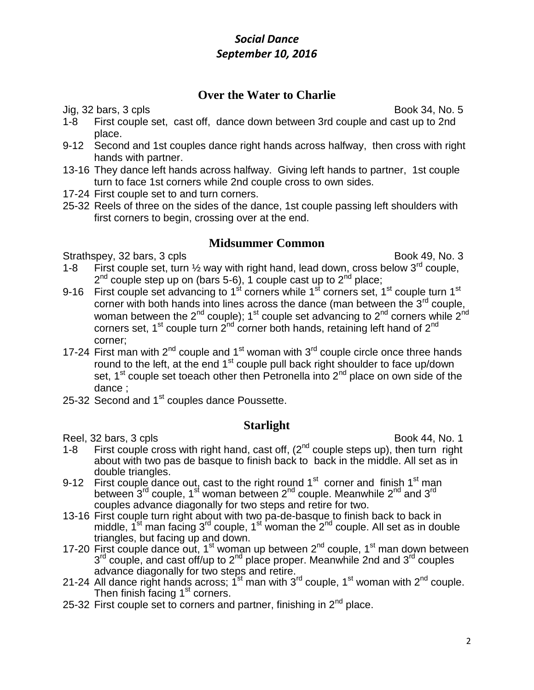# **Over the Water to Charlie**

Jig, 32 bars, 3 cpls Book 34, No. 5

- 1-8 First couple set, cast off, dance down between 3rd couple and cast up to 2nd place.
- 9-12 Second and 1st couples dance right hands across halfway, then cross with right hands with partner.
- 13-16 They dance left hands across halfway. Giving left hands to partner, 1st couple turn to face 1st corners while 2nd couple cross to own sides.
- 17-24 First couple set to and turn corners.
- 25-32 Reels of three on the sides of the dance, 1st couple passing left shoulders with first corners to begin, crossing over at the end.

#### **Midsummer Common**

Strathspey, 32 bars, 3 cpls Book 49, No. 3

- 1-8 First couple set, turn  $\frac{1}{2}$  way with right hand, lead down, cross below 3<sup>rd</sup> couple,  $2^{nd}$  couple step up on (bars 5-6), 1 couple cast up to  $2^{nd}$  place;
- 9-16 First couple set advancing to 1<sup>st</sup> corners while 1<sup>st</sup> corners set, 1<sup>st</sup> couple turn 1<sup>st</sup> corner with both hands into lines across the dance (man between the  $3<sup>rd</sup>$  couple, woman between the  $2^{nd}$  couple); 1<sup>st</sup> couple set advancing to  $2^{nd}$  corners while  $2^{nd}$ corners set, 1<sup>st</sup> couple turn  $2^{nd}$  corner both hands, retaining left hand of  $2^{nd}$ corner;
- 17-24 First man with  $2^{nd}$  couple and 1<sup>st</sup> woman with  $3^{rd}$  couple circle once three hands round to the left, at the end  $1<sup>st</sup>$  couple pull back right shoulder to face up/down set,  $1<sup>st</sup>$  couple set toeach other then Petronella into  $2<sup>nd</sup>$  place on own side of the dance ;
- 25-32 Second and 1<sup>st</sup> couples dance Poussette.

### **Starlight**

- Reel, 32 bars, 3 cpls Book 44, No. 1 1-8 First couple cross with right hand, cast off,  $(2^{nd}$  couple steps up), then turn right about with two pas de basque to finish back to back in the middle. All set as in double triangles.
- 9-12 First couple dance out, cast to the right round  $1<sup>st</sup>$  corner and finish  $1<sup>st</sup>$  man between<sup>'</sup>3<sup>rd</sup> couple, 1<sup>st</sup> woman between 2<sup>nd</sup> couple. Meanwhile 2<sup>nd</sup> and 3<sup>rd</sup> couples advance diagonally for two steps and retire for two.
- 13-16 First couple turn right about with two pa-de-basque to finish back to back in middle, 1<sup>'st</sup> man fa $\ddot{\rm c}$ ing 3<sup>rd</sup> couple, 1<sup>st</sup> woman the 2<sup>nd</sup> couple. All set as in double triangles, but facing up and down.
- 17-20 First couple dance out, 1<sup>st</sup> woman up between 2<sup>nd</sup> couple, 1<sup>st</sup> man down between 3<sup>rd</sup> couple, and cast off/up to 2<sup>nd</sup> place proper. Meanwhile 2nd and 3<sup>rd</sup> couples advance diagonally for two steps and retire.
- 21-24 All dance right hands across; 1<sup>st</sup> man with 3<sup>rd</sup> couple, 1<sup>st</sup> woman with 2<sup>nd</sup> couple. Then finish facing  $1<sup>st</sup>$  corners.
- 25-32 First couple set to corners and partner, finishing in  $2^{nd}$  place.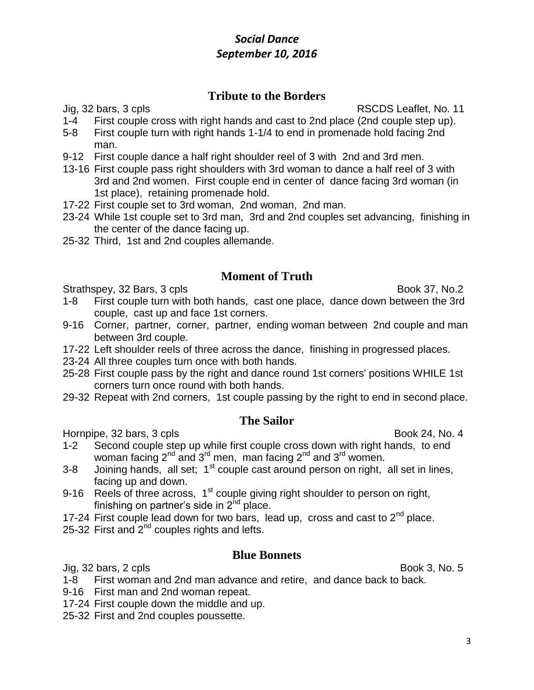## **Tribute to the Borders**

Jig, 32 bars, 3 cpls RSCDS Leaflet, No. 11

- 1-4 First couple cross with right hands and cast to 2nd place (2nd couple step up).
- 5-8 First couple turn with right hands 1-1/4 to end in promenade hold facing 2nd man.
- 9-12 First couple dance a half right shoulder reel of 3 with 2nd and 3rd men.
- 13-16 First couple pass right shoulders with 3rd woman to dance a half reel of 3 with 3rd and 2nd women. First couple end in center of dance facing 3rd woman (in 1st place), retaining promenade hold.
- 17-22 First couple set to 3rd woman, 2nd woman, 2nd man.
- 23-24 While 1st couple set to 3rd man, 3rd and 2nd couples set advancing, finishing in the center of the dance facing up.
- 25-32 Third, 1st and 2nd couples allemande.

#### **Moment of Truth**

Strathspey, 32 Bars, 3 cpls Book 37, No.2

- 1-8 First couple turn with both hands, cast one place, dance down between the 3rd couple, cast up and face 1st corners.
- 9-16 Corner, partner, corner, partner, ending woman between 2nd couple and man between 3rd couple.
- 17-22 Left shoulder reels of three across the dance, finishing in progressed places.
- 23-24 All three couples turn once with both hands.
- 25-28 First couple pass by the right and dance round 1st corners' positions WHILE 1st corners turn once round with both hands.
- 29-32 Repeat with 2nd corners, 1st couple passing by the right to end in second place.

#### **The Sailor**

Hornpipe, 32 bars, 3 cpls Book 24, No. 4

- 1-2 Second couple step up while first couple cross down with right hands, to end woman facing  $2^{nd}$  and  $3^{rd}$  men, man facing  $2^{nd}$  and  $3^{rd}$  women.
- $3-8$  Joining hands, all set;  $1<sup>st</sup>$  couple cast around person on right, all set in lines, facing up and down.
- 9-16 Reels of three across, 1<sup>st</sup> couple giving right shoulder to person on right, finishing on partner's side in  $2<sup>nd</sup>$  place.
- 17-24 First couple lead down for two bars, lead up, cross and cast to  $2^{nd}$  place.
- 25-32 First and  $2^{nd}$  couples rights and lefts.

### **Blue Bonnets**

Jig, 32 bars, 2 cpls Book 3, No. 5

- 1-8 First woman and 2nd man advance and retire, and dance back to back.
- 9-16 First man and 2nd woman repeat.
- 17-24 First couple down the middle and up.
- 25-32 First and 2nd couples poussette.